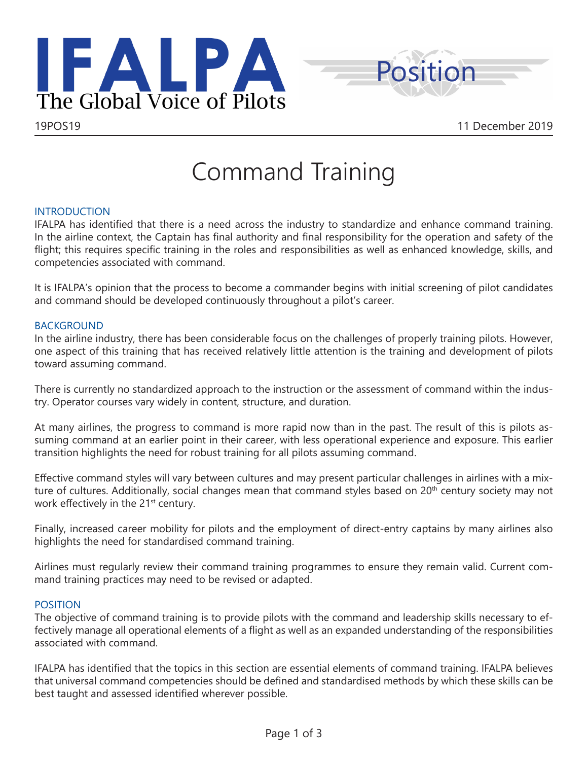



# Command Training

# INTRODUCTION

IFALPA has identified that there is a need across the industry to standardize and enhance command training. In the airline context, the Captain has final authority and final responsibility for the operation and safety of the flight; this requires specific training in the roles and responsibilities as well as enhanced knowledge, skills, and competencies associated with command.

It is IFALPA's opinion that the process to become a commander begins with initial screening of pilot candidates and command should be developed continuously throughout a pilot's career.

# BACKGROUND

In the airline industry, there has been considerable focus on the challenges of properly training pilots. However, one aspect of this training that has received relatively little attention is the training and development of pilots toward assuming command.

There is currently no standardized approach to the instruction or the assessment of command within the industry. Operator courses vary widely in content, structure, and duration.

At many airlines, the progress to command is more rapid now than in the past. The result of this is pilots assuming command at an earlier point in their career, with less operational experience and exposure. This earlier transition highlights the need for robust training for all pilots assuming command.

Effective command styles will vary between cultures and may present particular challenges in airlines with a mixture of cultures. Additionally, social changes mean that command styles based on 20<sup>th</sup> century society may not work effectively in the 21<sup>st</sup> century.

Finally, increased career mobility for pilots and the employment of direct-entry captains by many airlines also highlights the need for standardised command training.

Airlines must regularly review their command training programmes to ensure they remain valid. Current command training practices may need to be revised or adapted.

# POSITION

The objective of command training is to provide pilots with the command and leadership skills necessary to effectively manage all operational elements of a flight as well as an expanded understanding of the responsibilities associated with command.

IFALPA has identified that the topics in this section are essential elements of command training. IFALPA believes that universal command competencies should be defined and standardised methods by which these skills can be best taught and assessed identified wherever possible.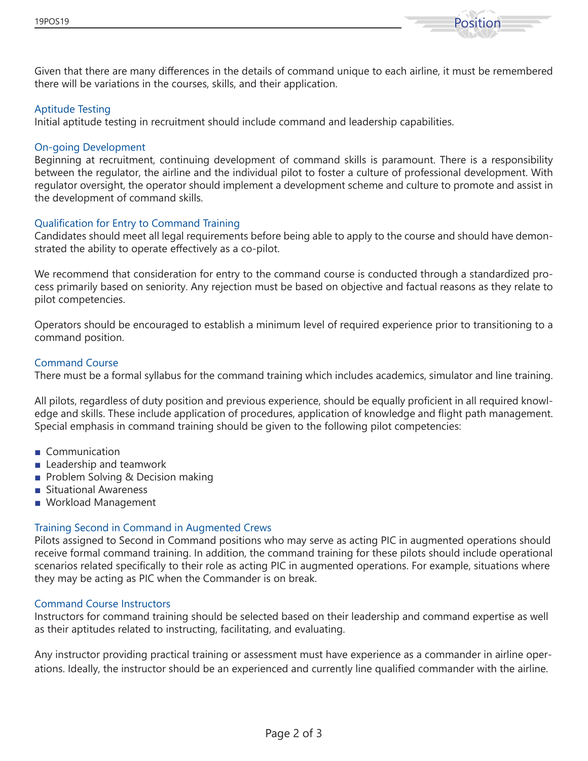



Given that there are many differences in the details of command unique to each airline, it must be remembered there will be variations in the courses, skills, and their application.

## Aptitude Testing

Initial aptitude testing in recruitment should include command and leadership capabilities.

#### On-going Development

Beginning at recruitment, continuing development of command skills is paramount. There is a responsibility between the regulator, the airline and the individual pilot to foster a culture of professional development. With regulator oversight, the operator should implement a development scheme and culture to promote and assist in the development of command skills.

## Qualification for Entry to Command Training

Candidates should meet all legal requirements before being able to apply to the course and should have demonstrated the ability to operate effectively as a co-pilot.

We recommend that consideration for entry to the command course is conducted through a standardized process primarily based on seniority. Any rejection must be based on objective and factual reasons as they relate to pilot competencies.

Operators should be encouraged to establish a minimum level of required experience prior to transitioning to a command position.

## Command Course

There must be a formal syllabus for the command training which includes academics, simulator and line training.

All pilots, regardless of duty position and previous experience, should be equally proficient in all required knowledge and skills. These include application of procedures, application of knowledge and flight path management. Special emphasis in command training should be given to the following pilot competencies:

- Communication
- Leadership and teamwork
- Problem Solving & Decision making
- Situational Awareness
- Workload Management

# Training Second in Command in Augmented Crews

Pilots assigned to Second in Command positions who may serve as acting PIC in augmented operations should receive formal command training. In addition, the command training for these pilots should include operational scenarios related specifically to their role as acting PIC in augmented operations. For example, situations where they may be acting as PIC when the Commander is on break.

#### Command Course Instructors

Instructors for command training should be selected based on their leadership and command expertise as well as their aptitudes related to instructing, facilitating, and evaluating.

Any instructor providing practical training or assessment must have experience as a commander in airline operations. Ideally, the instructor should be an experienced and currently line qualified commander with the airline.